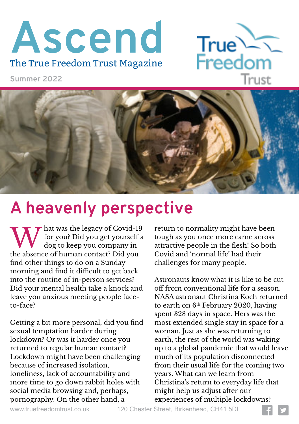# **Ascend** The True Freedom Trust Magazine



**Summer 2022**



### **A heavenly perspective**

W hat was the legacy of Covid-1<br>for you? Did you get yourself<br>the absence of human contact? Did you hat was the legacy of Covid-19 for you? Did you get yourself a dog to keep you company in find other things to do on a Sunday morning and find it difficult to get back into the routine of in-person services? Did your mental health take a knock and leave you anxious meeting people faceto-face?

Getting a bit more personal, did you find sexual temptation harder during lockdown? Or was it harder once you returned to regular human contact? Lockdown might have been challenging because of increased isolation, loneliness, lack of accountability and more time to go down rabbit holes with social media browsing and, perhaps, pornography. On the other hand, a

return to normality might have been tough as you once more came across attractive people in the flesh! So both Covid and 'normal life' had their challenges for many people.

Astronauts know what it is like to be cut off from conventional life for a season. NASA astronaut Christina Koch returned to earth on  $6<sup>th</sup>$  February 2020, having spent 328 days in space. Hers was the most extended single stay in space for a woman. Just as she was returning to earth, the rest of the world was waking up to a global pandemic that would leave much of its population disconnected from their usual life for the coming two years. What can we learn from Christina's return to everyday life that might help us adjust after our experiences of multiple lockdowns?

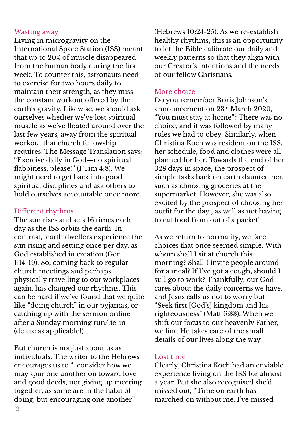#### Wasting away

Living in microgravity on the International Space Station (ISS) meant that up to 20% of muscle disappeared from the human body during the first week. To counter this, astronauts need to exercise for two hours daily to maintain their strength, as they miss the constant workout offered by the earth's gravity. Likewise, we should ask ourselves whether we've lost spiritual muscle as we've floated around over the last few years, away from the spiritual workout that church fellowship requires. The Message Translation says: "Exercise daily in God—no spiritual flabbiness, please!" (1 Tim 4:8). We might need to get back into good spiritual disciplines and ask others to hold ourselves accountable once more.

#### Different rhythms

The sun rises and sets 16 times each day as the ISS orbits the earth. In contrast, earth dwellers experience the sun rising and setting once per day, as God established in creation (Gen 1:14-19). So, coming back to regular church meetings and perhaps physically travelling to our workplaces again, has changed our rhythms. This can be hard if we've found that we quite like "doing church" in our pyjamas, or catching up with the sermon online after a Sunday morning run/lie-in (delete as applicable!)

But church is not just about us as individuals. The writer to the Hebrews encourages us to "…consider how we may spur one another on toward love and good deeds, not giving up meeting together, as some are in the habit of doing, but encouraging one another"

(Hebrews 10:24-25). As we re-establish healthy rhythms, this is an opportunity to let the Bible calibrate our daily and weekly patterns so that they align with our Creator's intentions and the needs of our fellow Christians.

#### More choice

Do you remember Boris Johnson's announcement on 23rd March 2020, "You must stay at home"? There was no choice, and it was followed by many rules we had to obey. Similarly, when Christina Koch was resident on the ISS, her schedule, food and clothes were all planned for her. Towards the end of her 328 days in space, the prospect of simple tasks back on earth daunted her, such as choosing groceries at the supermarket. However, she was also excited by the prospect of choosing her outfit for the day , as well as not having to eat food from out of a packet!

As we return to normality, we face choices that once seemed simple. With whom shall I sit at church this morning? Shall I invite people around for a meal? If I've got a cough, should I still go to work? Thankfully, our God cares about the daily concerns we have, and Jesus calls us not to worry but "Seek first [God's] kingdom and his righteousness" (Matt 6:33). When we shift our focus to our heavenly Father, we find He takes care of the small details of our lives along the way.

#### Lost time

Clearly, Christina Koch had an enviable experience living on the ISS for almost a year. But she also recognised she'd missed out, "Time on earth has marched on without me. I've missed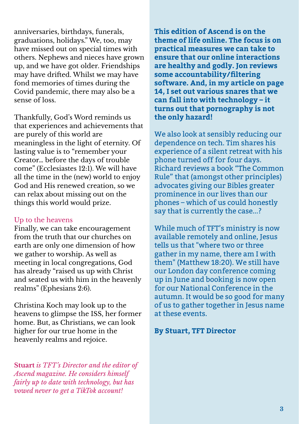anniversaries, birthdays, funerals, graduations, holidays." We, too, may have missed out on special times with others. Nephews and nieces have grown up, and we have got older. Friendships may have drifted. Whilst we may have fond memories of times during the Covid pandemic, there may also be a sense of loss.

Thankfully, God's Word reminds us that experiences and achievements that are purely of this world are meaningless in the light of eternity. Of lasting value is to "remember your Creator… before the days of trouble come" (Ecclesiastes 12:1). We will have all the time in the (new) world to enjoy God and His renewed creation, so we can relax about missing out on the things this world would prize.

#### Up to the heavens

Finally, we can take encouragement from the truth that our churches on earth are only one dimension of how we gather to worship. As well as meeting in local congregations, God has already "raised us up with Christ and seated us with him in the heavenly realms" (Ephesians 2:6).

Christina Koch may look up to the heavens to glimpse the ISS, her former home. But, as Christians, we can look higher for our true home in the heavenly realms and rejoice.

**Stuart** *is TFT's Director and the editor of Ascend magazine. He considers himself fairly up to date with technology, but has vowed never to get a TikTok account!*

**This edition of Ascend is on the theme of life online. The focus is on practical measures we can take to ensure that our online interactions are healthy and godly. Jon reviews some accountability/filtering software. And, in my article on page 14, I set out various snares that we can fall into with technology – it turns out that pornography is not the only hazard!**

We also look at sensibly reducing our dependence on tech. Tim shares his experience of a silent retreat with his phone turned off for four days. Richard reviews a book "The Common Rule" that (amongst other principles) advocates giving our Bibles greater prominence in our lives than our phones – which of us could honestly say that is currently the case...?

While much of TFT's ministry is now available remotely and online, Jesus tells us that "where two or three gather in my name, there am I with them" (Matthew 18:20). We still have our London day conference coming up in June and booking is now open for our National Conference in the autumn. It would be so good for many of us to gather together in Jesus name at these events.

#### **By Stuart, TFT Director**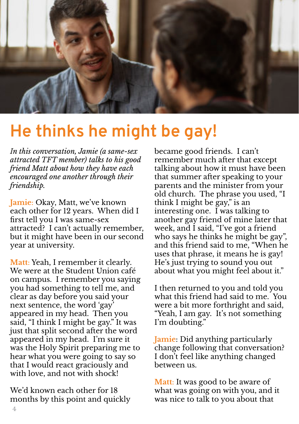

### **He thinks he might be gay!**

*In this conversation, Jamie (a same-sex attracted TFT member) talks to his good friend Matt about how they have each encouraged one another through their friendship.*

**Jamie**: Okay, Matt, we've known each other for 12 years. When did I first tell you I was same-sex attracted? I can't actually remember, but it might have been in our second year at university.

**Matt**: Yeah, I remember it clearly. We were at the Student Union café on campus. I remember you saying you had something to tell me, and clear as day before you said your next sentence, the word 'gay' appeared in my head. Then you said, "I think I might be gay." It was just that split second after the word appeared in my head. I'm sure it was the Holy Spirit preparing me to hear what you were going to say so that I would react graciously and with love, and not with shock!

We'd known each other for 18 months by this point and quickly became good friends. I can't remember much after that except talking about how it must have been that summer after speaking to your parents and the minister from your old church. The phrase you used, "I think I might be gay," is an interesting one. I was talking to another gay friend of mine later that week, and I said, "I've got a friend who says he thinks he might be gay", and this friend said to me, "When he uses that phrase, it means he is gay! He's just trying to sound you out about what you might feel about it."

I then returned to you and told you what this friend had said to me. You were a bit more forthright and said, "Yeah, I am gay. It's not something I'm doubting."

**Jamie**: Did anything particularly change following that conversation? I don't feel like anything changed between us.

**Matt**: It was good to be aware of what was going on with you, and it was nice to talk to you about that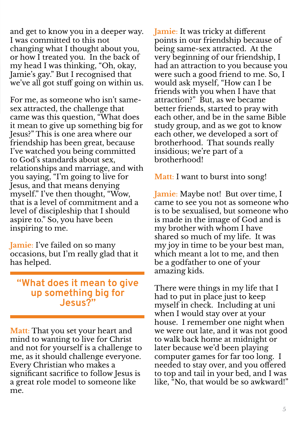and get to know you in a deeper way. I was committed to this not changing what I thought about you, or how I treated you. In the back of my head I was thinking, "Oh, okay, Jamie's gay." But I recognised that we've all got stuff going on within us.

For me, as someone who isn't samesex attracted, the challenge that came was this question, "What does it mean to give up something big for Jesus?" This is one area where our friendship has been great, because I've watched you being committed to God's standards about sex, relationships and marriage, and with you saying, "I'm going to live for Jesus, and that means denying myself." I've then thought, "Wow, that is a level of commitment and a level of discipleship that I should aspire to." So, you have been inspiring to me.

**Jamie**: I've failed on so many occasions, but I'm really glad that it has helped.

#### **"What does it mean to give up something big for Jesus?"**

**Matt**: That you set your heart and mind to wanting to live for Christ and not for yourself is a challenge to me, as it should challenge everyone. Every Christian who makes a significant sacrifice to follow Jesus is a great role model to someone like me.

**Jamie**: It was tricky at different points in our friendship because of being same-sex attracted. At the very beginning of our friendship, I had an attraction to you because you were such a good friend to me. So, I would ask myself, "How can I be friends with you when I have that attraction?" But, as we became better friends, started to pray with each other, and be in the same Bible study group, and as we got to know each other, we developed a sort of brotherhood. That sounds really insidious; we're part of a brotherhood!

**Matt**: I want to burst into song!

**Jamie**: Maybe not! But over time, I came to see you not as someone who is to be sexualised, but someone who is made in the image of God and is my brother with whom I have shared so much of my life. It was my joy in time to be your best man, which meant a lot to me, and then be a godfather to one of your amazing kids.

There were things in my life that I had to put in place just to keep myself in check. Including at uni when I would stay over at your house. I remember one night when we were out late, and it was not good to walk back home at midnight or later because we'd been playing computer games for far too long. I needed to stay over, and you offered to top and tail in your bed, and I was like, "No, that would be so awkward!"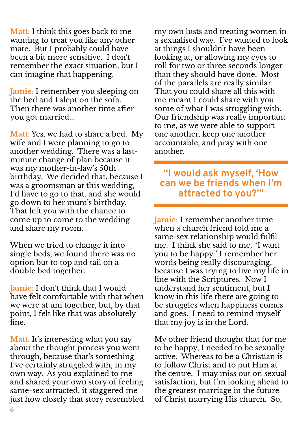**Matt**: I think this goes back to me wanting to treat you like any other mate. But I probably could have been a bit more sensitive. I don't remember the exact situation, but I can imagine that happening.

**Jamie**: I remember you sleeping on the bed and I slept on the sofa. Then there was another time after you got married...

**Matt**: Yes, we had to share a bed. My wife and I were planning to go to another wedding. There was a lastminute change of plan because it was my mother-in-law's 50th birthday. We decided that, because I was a groomsman at this wedding, I'd have to go to that, and she would go down to her mum's birthday. That left you with the chance to come up to come to the wedding and share my room.

When we tried to change it into single beds, we found there was no option but to top and tail on a double bed together.

**Jamie**: I don't think that I would have felt comfortable with that when we were at uni together, but, by that point, I felt like that was absolutely fine.

**Matt**: It's interesting what you say about the thought process you went through, because that's something I've certainly struggled with, in my own way. As you explained to me and shared your own story of feeling same-sex attracted, it staggered me just how closely that story resembled my own lusts and treating women in a sexualised way. I've wanted to look at things I shouldn't have been looking at, or allowing my eyes to roll for two or three seconds longer than they should have done. Most of the parallels are really similar. That you could share all this with me meant I could share with you some of what I was struggling with. Our friendship was really important to me, as we were able to support one another, keep one another accountable, and pray with one another.

### **"I would ask myself, 'How can we be friends when I'm attracted to you?'"**

**Jamie**: I remember another time when a church friend told me a same-sex relationship would fulfil me. I think she said to me, "I want you to be happy." I remember her words being really discouraging, because I was trying to live my life in line with the Scriptures. Now I understand her sentiment, but I know in this life there are going to be struggles when happiness comes and goes. I need to remind myself that my joy is in the Lord.

My other friend thought that for me to be happy, I needed to be sexually active. Whereas to be a Christian is to follow Christ and to put Him at the centre. I may miss out on sexual satisfaction, but I'm looking ahead to the greatest marriage in the future of Christ marrying His church. So,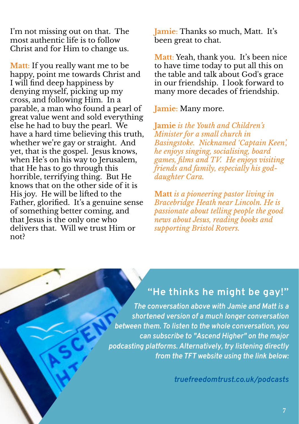I'm not missing out on that. The most authentic life is to follow Christ and for Him to change us.

**Matt**: If you really want me to be happy, point me towards Christ and I will find deep happiness by denying myself, picking up my cross, and following Him. In a parable, a man who found a pearl of great value went and sold everything else he had to buy the pearl. We have a hard time believing this truth, whether we're gay or straight. And yet, that is the gospel. Jesus knows, when He's on his way to Jerusalem, that He has to go through this horrible, terrifying thing. But He knows that on the other side of it is His joy. He will be lifted to the Father, glorified. It's a genuine sense of something better coming, and that Jesus is the only one who delivers that. Will we trust Him or not?

**Jamie**: Thanks so much, Matt. It's been great to chat.

**Matt**: Yeah, thank you. It's been nice to have time today to put all this on the table and talk about God's grace in our friendship. I look forward to many more decades of friendship.

**Jamie**: Many more.

**Jamie** *is the Youth and Children's Minister for a small church in Basingstoke. Nicknamed 'Captain Keen', he enjoys singing, socialising, board games, films and TV. He enjoys visiting friends and family, especially his goddaughter Cara.*

**Matt** *is a pioneering pastor living in Bracebridge Heath near Lincoln. He is passionate about telling people the good news about Jesus, reading books and supporting Bristol Rovers.*

### **"He thinks he might be gay!"**

*The conversation above with Jamie and Matt is a shortened version of a much longer conversation between them. To listen to the whole conversation, you can subscribe to "Ascend Higher" on the major podcasting platforms. Alternatively, try listening directly from the TFT website using the link below:*

*truefreedomtrust.co.uk/podcasts*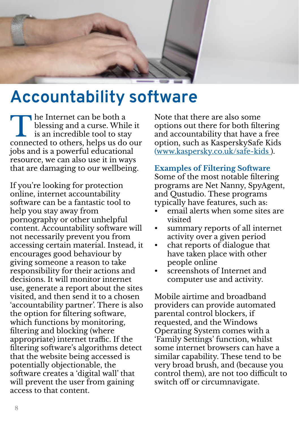

## **Accountability software**

The Internet can be both a<br>blessing and a curse. While it<br>is an incredible tool to stay<br>connected to others, helps us do our he Internet can be both a blessing and a curse. While it is an incredible tool to stay jobs and is a powerful educational resource, we can also use it in ways that are damaging to our wellbeing.

If you're looking for protection online, internet accountability software can be a fantastic tool to help you stay away from pornography or other unhelpful content. Accountability software will not necessarily prevent you from accessing certain material. Instead, it encourages good behaviour by giving someone a reason to take responsibility for their actions and decisions. It will monitor internet use, generate a report about the sites visited, and then send it to a chosen 'accountability partner'. There is also the option for filtering software, which functions by monitoring, filtering and blocking (where appropriate) internet traffic. If the filtering software's algorithms detect that the website being accessed is potentially objectionable, the software creates a 'digital wall' that will prevent the user from gaining access to that content.

Note that there are also some options out there for both filtering and accountability that have a free option, such as KasperskySafe Kids (www.kaspersky.co.uk/safe-kids ).

**Examples of Filtering Software** Some of the most notable filtering programs are Net Nanny, SpyAgent, and Qustudio. These programs typically have features, such as:

- email alerts when some sites are visited
- summary reports of all internet activity over a given period
- chat reports of dialogue that have taken place with other people online
- screenshots of Internet and computer use and activity.

Mobile airtime and broadband providers can provide automated parental control blockers, if requested, and the Windows Operating System comes with a 'Family Settings' function, whilst some internet browsers can have a similar capability. These tend to be very broad brush, and (because you control them), are not too difficult to switch off or circumnavigate.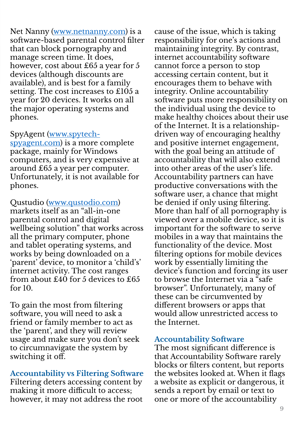Net Nanny (www.netnanny.com) is a software-based parental control filter that can block pornography and manage screen time. It does, however, cost about £65 a year for 5 devices (although discounts are available), and is best for a family setting. The cost increases to £105 a year for 20 devices. It works on all the major operating systems and phones.

#### SpyAgent (www.spytech-

spyagent.com) is a more complete package, mainly for Windows computers, and is very expensive at around £65 a year per computer. Unfortunately, it is not available for phones.

Qustudio (www.qustodio.com) markets itself as an "all-in-one parental control and digital wellbeing solution" that works across all the primary computer, phone and tablet operating systems, and works by being downloaded on a 'parent' device, to monitor a 'child's' internet activity. The cost ranges from about £40 for 5 devices to £65 for 10.

To gain the most from filtering software, you will need to ask a friend or family member to act as the 'parent', and they will review usage and make sure you don't seek to circumnavigate the system by switching it off.

#### **Accountability vs Filtering Software** Filtering deters accessing content by making it more difficult to access; however, it may not address the root

cause of the issue, which is taking responsibility for one's actions and maintaining integrity. By contrast, internet accountability software cannot force a person to stop accessing certain content, but it encourages them to behave with integrity. Online accountability software puts more responsibility on the individual using the device to make healthy choices about their use of the Internet. It is a relationshipdriven way of encouraging healthy and positive internet engagement, with the goal being an attitude of accountability that will also extend into other areas of the user's life. Accountability partners can have productive conversations with the software user, a chance that might be denied if only using filtering. More than half of all pornography is viewed over a mobile device, so it is important for the software to serve mobiles in a way that maintains the functionality of the device. Most filtering options for mobile devices work by essentially limiting the device's function and forcing its user to browse the Internet via a "safe browser". Unfortunately, many of these can be circumvented by different browsers or apps that would allow unrestricted access to the Internet.

#### **Accountability Software**

The most significant difference is that Accountability Software rarely blocks or filters content, but reports the websites looked at. When it flags a website as explicit or dangerous, it sends a report by email or text to one or more of the accountability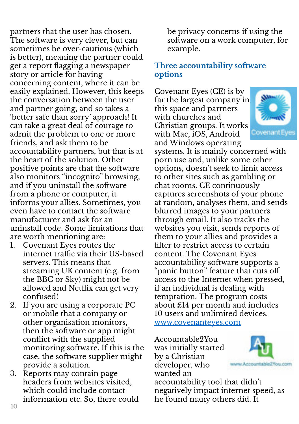partners that the user has chosen. The software is very clever, but can sometimes be over-cautious (which is better), meaning the partner could get a report flagging a newspaper story or article for having concerning content, where it can be easily explained. However, this keeps the conversation between the user and partner going, and so takes a 'better safe than sorry' approach! It can take a great deal of courage to admit the problem to one or more friends, and ask them to be accountability partners, but that is at the heart of the solution. Other positive points are that the software also monitors "incognito" browsing, and if you uninstall the software from a phone or computer, it informs your allies. Sometimes, you even have to contact the software manufacturer and ask for an uninstall code. Some limitations that are worth mentioning are:

- 1. Covenant Eyes routes the internet traffic via their US-based servers. This means that streaming UK content (e.g. from the BBC or Sky) might not be allowed and Netflix can get very confused!
- 2. If you are using a corporate PC or mobile that a company or other organisation monitors, then the software or app might conflict with the supplied monitoring software. If this is the case, the software supplier might provide a solution.
- 3. Reports may contain page headers from websites visited, which could include contact information etc. So, there could

be privacy concerns if using the software on a work computer, for example.

#### **Three accountability software options**

Covenant Eyes (CE) is by far the largest company in this space and partners with churches and Christian groups. It works with Mac, iOS, Android and Windows operating



systems. It is mainly concerned with porn use and, unlike some other options, doesn't seek to limit access to other sites such as gambling or chat rooms. CE continuously captures screenshots of your phone at random, analyses them, and sends blurred images to your partners through email. It also tracks the websites you visit, sends reports of them to your allies and provides a filter to restrict access to certain content. The Covenant Eyes accountability software supports a "panic button" feature that cuts off access to the Internet when pressed, if an individual is dealing with temptation. The program costs about £14 per month and includes 10 users and unlimited devices. www.covenanteyes.com

Accountable2You was initially started by a Christian developer, who wanted an



accountability tool that didn't negatively impact internet speed, as he found many others did. It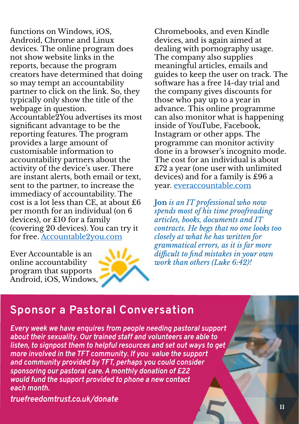functions on Windows, iOS, Android, Chrome and Linux devices. The online program does not show website links in the reports, because the program creators have determined that doing so may tempt an accountability partner to click on the link. So, they typically only show the title of the webpage in question. Accountable2You advertises its most significant advantage to be the reporting features. The program provides a large amount of customisable information to accountability partners about the activity of the device's user. There are instant alerts, both email or text, sent to the partner, to increase the immediacy of accountability. The cost is a lot less than CE, at about £6 per month for an individual (on 6 devices), or £10 for a family (covering 20 devices). You can try it for free. Accountable2you.com

Ever Accountable is an online accountability program that supports Android, iOS, Windows,



Chromebooks, and even Kindle devices, and is again aimed at dealing with pornography usage. The company also supplies meaningful articles, emails and guides to keep the user on track. The software has a free 14-day trial and the company gives discounts for those who pay up to a year in advance. This online programme can also monitor what is happening inside of YouTube, Facebook, Instagram or other apps. The programme can monitor activity done in a browser's incognito mode. The cost for an individual is about £72 a year (one user with unlimited devices) and for a family is £96 a year. everaccountable.com

**Jon** *is an IT professional who now spends most of his time proofreading articles, books, documents and IT contracts. He begs that no one looks too closely at what he has written for grammatical errors, as it is far more difficult to find mistakes in your own work than others (Luke 6:42)!*

### **Sponsor a Pastoral Conversation**

*Every week we have enquires from people needing pastoral support about their sexuality. Our trained staff and volunteers are able to listen, to signpost them to helpful resources and set out ways to get more involved in the TFT community. If you value the support and community provided by TFT, perhaps you could consider sponsoring our pastoral care. A monthly donation of £22 would fund the support provided to phone a new contact each month.*

*truefreedomtrust.co.uk/donate*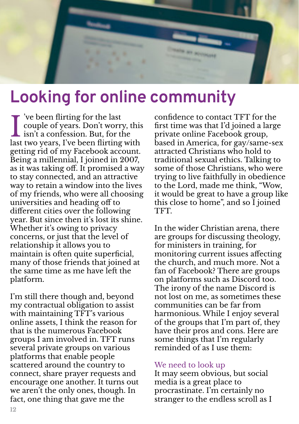

## **Looking for online community**

I ve been flirting for the last<br>couple of years. Don't worry,<br>isn't a confession. But, for the<br>last two years. I've been flirting w 've been flirting for the last couple of years. Don't worry, this last two years, I've been flirting with getting rid of my Facebook account. Being a millennial, I joined in 2007, as it was taking off. It promised a way to stay connected, and an attractive way to retain a window into the lives of my friends, who were all choosing universities and heading off to different cities over the following year. But since then it's lost its shine. Whether it's owing to privacy concerns, or just that the level of relationship it allows you to maintain is often quite superficial, many of those friends that joined at the same time as me have left the platform.

I'm still there though and, beyond my contractual obligation to assist with maintaining TFT's various online assets, I think the reason for that is the numerous Facebook groups I am involved in. TFT runs several private groups on various platforms that enable people scattered around the country to connect, share prayer requests and encourage one another. It turns out we aren't the only ones, though. In fact, one thing that gave me the

confidence to contact TFT for the first time was that I'd joined a large private online Facebook group, based in America, for gay/same-sex attracted Christians who hold to traditional sexual ethics. Talking to some of those Christians, who were trying to live faithfully in obedience to the Lord, made me think, "Wow, it would be great to have a group like this close to home", and so I joined TFT.

In the wider Christian arena, there are groups for discussing theology, for ministers in training, for monitoring current issues affecting the church, and much more. Not a fan of Facebook? There are groups on platforms such as Discord too. The irony of the name Discord is not lost on me, as sometimes these communities can be far from harmonious. While I enjoy several of the groups that I'm part of, they have their pros and cons. Here are some things that I'm regularly reminded of as I use them:

#### We need to look up

It may seem obvious, but social media is a great place to procrastinate. I'm certainly no stranger to the endless scroll as I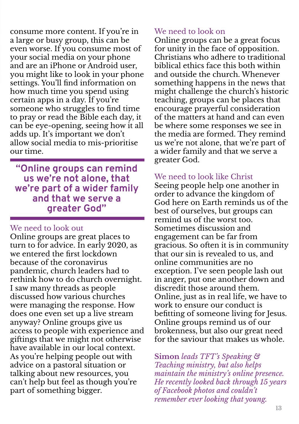consume more content. If you're in a large or busy group, this can be even worse. If you consume most of your social media on your phone and are an iPhone or Android user, you might like to look in your phone settings. You'll find information on how much time you spend using certain apps in a day. If you're someone who struggles to find time to pray or read the Bible each day, it can be eye-opening, seeing how it all adds up. It's important we don't allow social media to mis-prioritise our time.

**"Online groups can remind us we're not alone, that we're part of a wider family and that we serve a greater God"**

#### We need to look out

Online groups are great places to turn to for advice. In early 2020, as we entered the first lockdown because of the coronavirus pandemic, church leaders had to rethink how to do church overnight. I saw many threads as people discussed how various churches were managing the response. How does one even set up a live stream anyway? Online groups give us access to people with experience and giftings that we might not otherwise have available in our local context. As you're helping people out with advice on a pastoral situation or talking about new resources, you can't help but feel as though you're part of something bigger.

#### We need to look on

Online groups can be a great focus for unity in the face of opposition. Christians who adhere to traditional biblical ethics face this both within and outside the church. Whenever something happens in the news that might challenge the church's historic teaching, groups can be places that encourage prayerful consideration of the matters at hand and can even be where some responses we see in the media are formed. They remind us we're not alone, that we're part of a wider family and that we serve a greater God.

#### We need to look like Christ

Seeing people help one another in order to advance the kingdom of God here on Earth reminds us of the best of ourselves, but groups can remind us of the worst too. Sometimes discussion and engagement can be far from gracious. So often it is in community that our sin is revealed to us, and online communities are no exception. I've seen people lash out in anger, put one another down and discredit those around them. Online, just as in real life, we have to work to ensure our conduct is befitting of someone living for Jesus. Online groups remind us of our brokenness, but also our great need for the saviour that makes us whole.

**Simon** *leads TFT's Speaking & Teaching ministry, but also helps maintain the ministry's online presence. He recently looked back through 15 years of Facebook photos and couldn't remember ever looking that young.*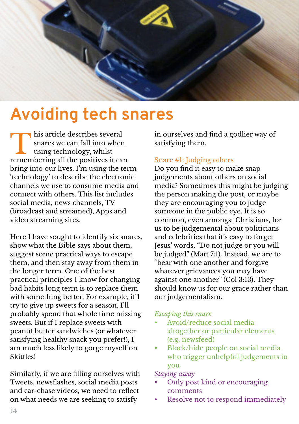

### **Avoiding tech snares**

I his article describes several<br>snares we can fall into when<br>using technology, whilst<br>remembering all the positives it can his article describes several snares we can fall into when using technology, whilst bring into our lives. I'm using the term 'technology' to describe the electronic channels we use to consume media and connect with others. This list includes social media, news channels, TV (broadcast and streamed), Apps and video streaming sites.

Here I have sought to identify six snares, show what the Bible says about them, suggest some practical ways to escape them, and then stay away from them in the longer term. One of the best practical principles I know for changing bad habits long term is to replace them with something better. For example, if I try to give up sweets for a season, I'll probably spend that whole time missing sweets. But if I replace sweets with peanut butter sandwiches (or whatever satisfying healthy snack you prefer!), I am much less likely to gorge myself on Skittles!

Similarly, if we are filling ourselves with Tweets, newsflashes, social media posts and car-chase videos, we need to reflect on what needs we are seeking to satisfy

in ourselves and find a godlier way of satisfying them.

#### Snare #1: Judging others

Do you find it easy to make snap judgements about others on social media? Sometimes this might be judging the person making the post, or maybe they are encouraging you to judge someone in the public eye. It is so common, even amongst Christians, for us to be judgemental about politicians and celebrities that it's easy to forget Jesus' words, "Do not judge or you will be judged" (Matt 7:1). Instead, we are to "bear with one another and forgive whatever grievances you may have against one another" (Col 3:13). They should know us for our grace rather than our judgementalism.

#### *Escaping this snare*

- Avoid/reduce social media altogether or particular elements (e.g. newsfeed)
- Block/hide people on social media who trigger unhelpful judgements in you

#### *Staying away*

- Only post kind or encouraging comments
- Resolve not to respond immediately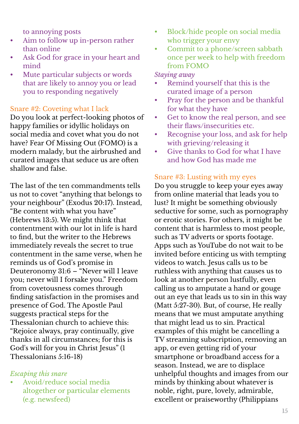to annoying posts

- Aim to follow up in-person rather than online
- Ask God for grace in your heart and mind
- Mute particular subjects or words that are likely to annoy you or lead you to responding negatively

#### Snare #2: Coveting what I lack

Do you look at perfect-looking photos of happy families or idyllic holidays on social media and covet what you do not have? Fear Of Missing Out (FOMO) is a modern malady, but the airbrushed and curated images that seduce us are often shallow and false.

The last of the ten commandments tells us not to covet "anything that belongs to your neighbour" (Exodus 20:17). Instead, "Be content with what you have" (Hebrews 13:5). We might think that contentment with our lot in life is hard to find, but the writer to the Hebrews immediately reveals the secret to true contentment in the same verse, when he reminds us of God's promise in Deuteronomy 31:6 – "Never will I leave you; never will I forsake you." Freedom from covetousness comes through finding satisfaction in the promises and presence of God. The Apostle Paul suggests practical steps for the Thessalonian church to achieve this: "Rejoice always, pray continually, give thanks in all circumstances; for this is God's will for you in Christ Jesus" (1 Thessalonians 5:16-18)

#### *Escaping this snare*

• Avoid/reduce social media altogether or particular elements (e.g. newsfeed)

- Block/hide people on social media who trigger your envy
- Commit to a phone/screen sabbath once per week to help with freedom from FOMO

#### *Staying away*

- Remind yourself that this is the curated image of a person
- Pray for the person and be thankful for what they have
- Get to know the real person, and see their flaws/insecurities etc.
- Recognise your loss, and ask for help with grieving/releasing it
- Give thanks to God for what I have and how God has made me

#### Snare #3: Lusting with my eyes

Do you struggle to keep your eyes away from online material that leads you to lust? It might be something obviously seductive for some, such as pornography or erotic stories. For others, it might be content that is harmless to most people, such as TV adverts or sports footage. Apps such as YouTube do not wait to be invited before enticing us with tempting videos to watch. Jesus calls us to be ruthless with anything that causes us to look at another person lustfully, even calling us to amputate a hand or gouge out an eye that leads us to sin in this way (Matt 5:27-30). But, of course, He really means that we must amputate anything that might lead us to sin. Practical examples of this might be cancelling a TV streaming subscription, removing an app, or even getting rid of your smartphone or broadband access for a season. Instead, we are to displace unhelpful thoughts and images from our minds by thinking about whatever is noble, right, pure, lovely, admirable, excellent or praiseworthy (Philippians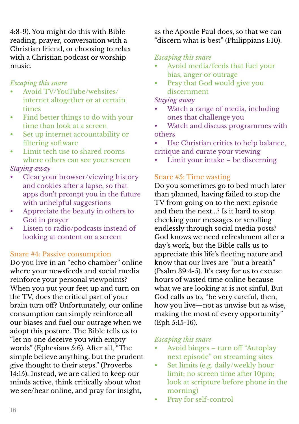4:8-9). You might do this with Bible reading, prayer, conversation with a Christian friend, or choosing to relax with a Christian podcast or worship music.

#### *Escaping this snare*

- Avoid TV/YouTube/websites/ internet altogether or at certain times
- Find better things to do with your time than look at a screen
- Set up internet accountability or filtering software
- Limit tech use to shared rooms where others can see your screen

#### *Staying away*

- Clear your browser/viewing history and cookies after a lapse, so that apps don't prompt you in the future with unhelpful suggestions
- Appreciate the beauty in others to God in prayer
- Listen to radio/podcasts instead of looking at content on a screen

#### Snare #4: Passive consumption

Do you live in an "echo chamber" online where your newsfeeds and social media reinforce your personal viewpoints? When you put your feet up and turn on the TV, does the critical part of your brain turn off? Unfortunately, our online consumption can simply reinforce all our biases and fuel our outrage when we adopt this posture. The Bible tells us to "let no one deceive you with empty words" (Ephesians 5:6). After all, "The simple believe anything, but the prudent give thought to their steps." (Proverbs 14:15). Instead, we are called to keep our minds active, think critically about what we see/hear online, and pray for insight,

as the Apostle Paul does, so that we can "discern what is best" (Philippians 1:10).

#### *Escaping this snare*

- Avoid media/feeds that fuel your bias, anger or outrage
- Pray that God would give you discernment

#### *Staying away*

- Watch a range of media, including ones that challenge you
- Watch and discuss programmes with others
- Use Christian critics to help balance, critique and curate your viewing
- Limit your intake be discerning

#### Snare #5: Time wasting

Do you sometimes go to bed much later than planned, having failed to stop the TV from going on to the next episode and then the next...? Is it hard to stop checking your messages or scrolling endlessly through social media posts? God knows we need refreshment after a day's work, but the Bible calls us to appreciate this life's fleeting nature and know that our lives are "but a breath" (Psalm 39:4-5). It's easy for us to excuse hours of wasted time online because what we are looking at is not sinful. But God calls us to, "be very careful, then, how you live—not as unwise but as wise, making the most of every opportunity" (Eph 5:15-16).

#### *Escaping this snare*

- Avoid binges turn off "Autoplay next episode" on streaming sites
- Set limits (e.g. daily/weekly hour limit; no screen time after 10pm; look at scripture before phone in the morning)
- Pray for self-control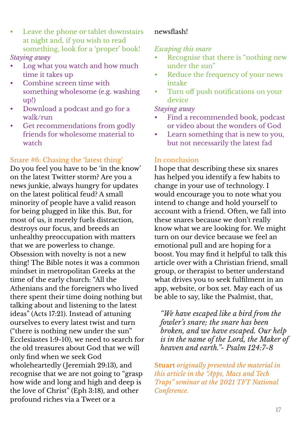- Leave the phone or tablet downstairs at night and, if you wish to read something, look for a 'proper' book! *Staying away*
- Log what you watch and how much time it takes up
- Combine screen time with something wholesome (e.g. washing up!)
- Download a podcast and go for a walk/run
- Get recommendations from godly friends for wholesome material to watch

#### Snare #6: Chasing the 'latest thing'

Do you feel you have to be 'in the know' on the latest Twitter storm? Are you a news junkie, always hungry for updates on the latest political feud? A small minority of people have a valid reason for being plugged in like this. But, for most of us, it merely fuels distraction, destroys our focus, and breeds an unhealthy preoccupation with matters that we are powerless to change. Obsession with novelty is not a new thing! The Bible notes it was a common mindset in metropolitan Greeks at the time of the early church: "All the Athenians and the foreigners who lived there spent their time doing nothing but talking about and listening to the latest ideas" (Acts 17:21). Instead of attuning ourselves to every latest twist and turn ("there is nothing new under the sun" Ecclesiastes 1:9-10), we need to search for the old treasures about God that we will only find when we seek God wholeheartedly ( Jeremiah 29:13), and recognise that we are not going to "grasp how wide and long and high and deep is the love of Christ" (Eph 3:18), and other profound riches via a Tweet or a

#### newsflash!

#### *Escaping this snare*

- Recognise that there is "nothing new under the sun"
- Reduce the frequency of your news intake
- Turn off push notifications on your device

#### *Staying away*

- Find a recommended book, podcast or video about the wonders of God
- Learn something that is new to you, but not necessarily the latest fad

#### In conclusion

I hope that describing these six snares has helped you identify a few habits to change in your use of technology. I would encourage you to note what you intend to change and hold yourself to account with a friend. Often, we fall into these snares because we don't really know what we are looking for. We might turn on our device because we feel an emotional pull and are hoping for a boost. You may find it helpful to talk this article over with a Christian friend, small group, or therapist to better understand what drives you to seek fulfilment in an app, website, or box set. May each of us be able to say, like the Psalmist, that,

*"We have escaped like a bird from the fowler's snare; the snare has been broken, and we have escaped. Our help is in the name of the Lord, the Maker of heaven and earth."- Psalm 124:7-8*

**Stuart** *originally presented the material in this article in the "Apps, Macs and Tech Traps" seminar at the 2021 TFT National Conference.*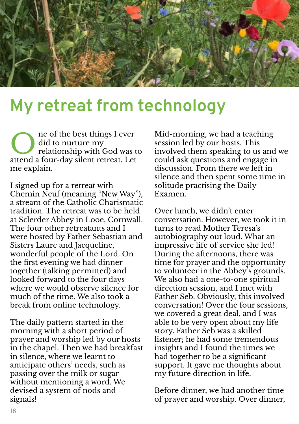

### **My retreat from technology**

example of the best things I ever<br>did to nurture my<br>relationship with God was t<br>attend a four-day silent retreat. Let ne of the best things I ever did to nurture my relationship with God was to me explain.

I signed up for a retreat with Chemin Neuf (meaning "New Way"), a stream of the Catholic Charismatic tradition. The retreat was to be held at Sclerder Abbey in Looe, Cornwall. The four other retreatants and I were hosted by Father Sebastian and Sisters Laure and Jacqueline, wonderful people of the Lord. On the first evening we had dinner together (talking permitted) and looked forward to the four days where we would observe silence for much of the time. We also took a break from online technology.

The daily pattern started in the morning with a short period of prayer and worship led by our hosts in the chapel. Then we had breakfast in silence, where we learnt to anticipate others' needs, such as passing over the milk or sugar without mentioning a word. We devised a system of nods and signals!

Mid-morning, we had a teaching session led by our hosts. This involved them speaking to us and we could ask questions and engage in discussion. From there we left in silence and then spent some time in solitude practising the Daily Examen.

Over lunch, we didn't enter conversation. However, we took it in turns to read Mother Teresa's autobiography out loud. What an impressive life of service she led! During the afternoons, there was time for prayer and the opportunity to volunteer in the Abbey's grounds. We also had a one-to-one spiritual direction session, and I met with Father Seb. Obviously, this involved conversation! Over the four sessions, we covered a great deal, and I was able to be very open about my life story. Father Seb was a skilled listener; he had some tremendous insights and I found the times we had together to be a significant support. It gave me thoughts about my future direction in life.

Before dinner, we had another time of prayer and worship. Over dinner,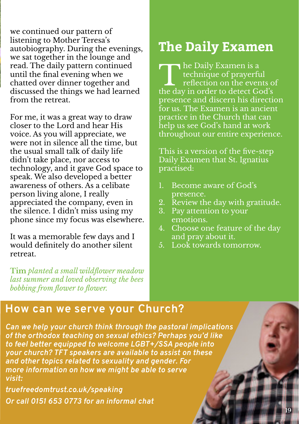we continued our pattern of listening to Mother Teresa's autobiography. During the evenings, we sat together in the lounge and read. The daily pattern continued until the final evening when we chatted over dinner together and discussed the things we had learned from the retreat.

For me, it was a great way to draw closer to the Lord and hear His voice. As you will appreciate, we were not in silence all the time, but the usual small talk of daily life didn't take place, nor access to technology, and it gave God space to speak. We also developed a better awareness of others. As a celibate person living alone, I really appreciated the company, even in the silence. I didn't miss using my phone since my focus was elsewhere.

It was a memorable few days and I would definitely do another silent retreat.

**Tim** *planted a small wildflower meadow last summer and loved observing the bees bobbing from flower to flower.*

### **The Daily Examen**

The Daily Examen is a<br>technique of prayerful<br>reflection on the events of<br>the day in order to detect God's he Daily Examen is a technique of prayerful reflection on the events of presence and discern his direction for us. The Examen is an ancient practice in the Church that can help us see God's hand at work throughout our entire experience.

This is a version of the five-step Daily Examen that St. Ignatius practised:

- 1. Become aware of God's presence.
- 2. Review the day with gratitude.
- 3. Pay attention to your emotions.
- 4. Choose one feature of the day and pray about it.
- 5. Look towards tomorrow.

### **How can we serve your Church?**

*Can we help your church think through the pastoral implications of the orthodox teaching on sexual ethics? Perhaps you'd like to feel better equipped to welcome LGBT+/SSA people into your church? TFT speakers are available to assist on these and other topics related to sexuality and gender. For more information on how we might be able to serve visit:*

*truefreedomtrust.co.uk/speaking Or call 0151 653 0773 for an informal chat*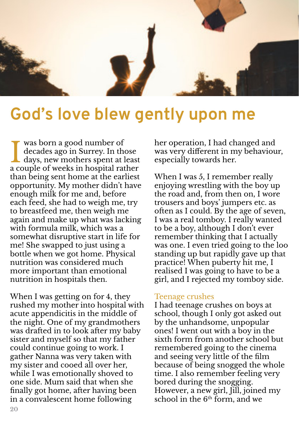

### **God's love blew gently upon me**

was born a good number of<br>decades ago in Surrey. In those<br>days, new mothers spent at least was born a good number of decades ago in Surrey. In those a couple of weeks in hospital rather than being sent home at the earliest opportunity. My mother didn't have enough milk for me and, before each feed, she had to weigh me, try to breastfeed me, then weigh me again and make up what was lacking with formula milk, which was a somewhat disruptive start in life for me! She swapped to just using a bottle when we got home. Physical nutrition was considered much more important than emotional nutrition in hospitals then.

When I was getting on for 4, they rushed my mother into hospital with acute appendicitis in the middle of the night. One of my grandmothers was drafted in to look after my baby sister and myself so that my father could continue going to work. I gather Nanna was very taken with my sister and cooed all over her, while I was emotionally shoved to one side. Mum said that when she finally got home, after having been in a convalescent home following

her operation, I had changed and was very different in my behaviour, especially towards her.

When I was 5, I remember really enjoying wrestling with the boy up the road and, from then on, I wore trousers and boys' jumpers etc. as often as I could. By the age of seven, I was a real tomboy. I really wanted to be a boy, although I don't ever remember thinking that I actually was one. I even tried going to the loo standing up but rapidly gave up that practice! When puberty hit me, I realised I was going to have to be a girl, and I rejected my tomboy side.

#### Teenage crushes

I had teenage crushes on boys at school, though I only got asked out by the unhandsome, unpopular ones! I went out with a boy in the sixth form from another school but remembered going to the cinema and seeing very little of the film because of being snogged the whole time. I also remember feeling very bored during the snogging. However, a new girl, Jill, joined my school in the  $6<sup>th</sup>$  form, and we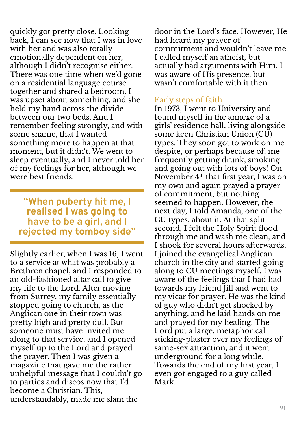quickly got pretty close. Looking back, I can see now that I was in love with her and was also totally emotionally dependent on her, although I didn't recognise either. There was one time when we'd gone on a residential language course together and shared a bedroom. I was upset about something, and she held my hand across the divide between our two beds. And I remember feeling strongly, and with some shame, that I wanted something more to happen at that moment, but it didn't. We went to sleep eventually, and I never told her of my feelings for her, although we were best friends.

**"When puberty hit me, I realised I was going to have to be a girl, and I rejected my tomboy side"**

Slightly earlier, when I was 16, I went to a service at what was probably a Brethren chapel, and I responded to an old-fashioned altar call to give my life to the Lord. After moving from Surrey, my family essentially stopped going to church, as the Anglican one in their town was pretty high and pretty dull. But someone must have invited me along to that service, and I opened myself up to the Lord and prayed the prayer. Then I was given a magazine that gave me the rather unhelpful message that I couldn't go to parties and discos now that I'd become a Christian. This, understandably, made me slam the

door in the Lord's face. However, He had heard my prayer of commitment and wouldn't leave me. I called myself an atheist, but actually had arguments with Him. I was aware of His presence, but wasn't comfortable with it then.

#### Early steps of faith

In 1973, I went to University and found myself in the annexe of a girls' residence hall, living alongside some keen Christian Union (CU) types. They soon got to work on me despite, or perhaps because of, me frequently getting drunk, smoking and going out with lots of boys! On November 4<sup>th</sup> that first year, I was on my own and again prayed a prayer of commitment, but nothing seemed to happen. However, the next day, I told Amanda, one of the CU types, about it. At that split second, I felt the Holy Spirit flood through me and wash me clean, and I shook for several hours afterwards. I joined the evangelical Anglican church in the city and started going along to CU meetings myself. I was aware of the feelings that I had had towards my friend Jill and went to my vicar for prayer. He was the kind of guy who didn't get shocked by anything, and he laid hands on me and prayed for my healing. The Lord put a large, metaphorical sticking-plaster over my feelings of same-sex attraction, and it went underground for a long while. Towards the end of my first year, I even got engaged to a guy called Mark.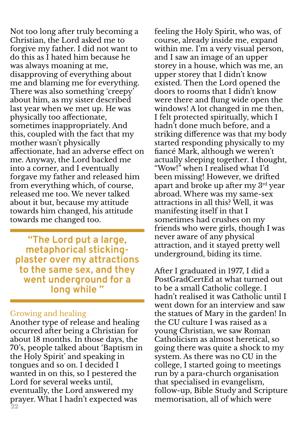Not too long after truly becoming a Christian, the Lord asked me to forgive my father. I did not want to do this as I hated him because he was always moaning at me, disapproving of everything about me and blaming me for everything. There was also something 'creepy' about him, as my sister described last year when we met up. He was physically too affectionate, sometimes inappropriately. And this, coupled with the fact that my mother wasn't physically affectionate, had an adverse effect on me. Anyway, the Lord backed me into a corner, and I eventually forgave my father and released him from everything which, of course, released me too. We never talked about it but, because my attitude towards him changed, his attitude towards me changed too.

**"The Lord put a large, metaphorical stickingplaster over my attractions to the same sex, and they went underground for a long while "**

#### Growing and healing

**22** Another type of release and healing occurred after being a Christian for about 18 months. In those days, the 70's, people talked about 'Baptism in the Holy Spirit' and speaking in tongues and so on. I decided I wanted in on this, so I pestered the Lord for several weeks until, eventually, the Lord answered my prayer. What I hadn't expected was

feeling the Holy Spirit, who was, of course, already inside me, expand within me. I'm a very visual person, and I saw an image of an upper storey in a house, which was me, an upper storey that I didn't know existed. Then the Lord opened the doors to rooms that I didn't know were there and flung wide open the windows! A lot changed in me then, I felt protected spiritually, which I hadn't done much before, and a striking difference was that my body started responding physically to my fiancé Mark, although we weren't actually sleeping together. I thought, "Wow!" when I realised what I'd been missing! However, we drifted apart and broke up after my 3rd year abroad. Where was my same-sex attractions in all this? Well, it was manifesting itself in that I sometimes had crushes on my friends who were girls, though I was never aware of any physical attraction, and it stayed pretty well underground, biding its time.

After I graduated in 1977, I did a PostGradCertEd at what turned out to be a small Catholic college. I hadn't realised it was Catholic until I went down for an interview and saw the statues of Mary in the garden! In the CU culture I was raised as a young Christian, we saw Roman Catholicism as almost heretical, so going there was quite a shock to my system. As there was no CU in the college, I started going to meetings run by a para-church organisation that specialised in evangelism, follow-up, Bible Study and Scripture memorisation, all of which were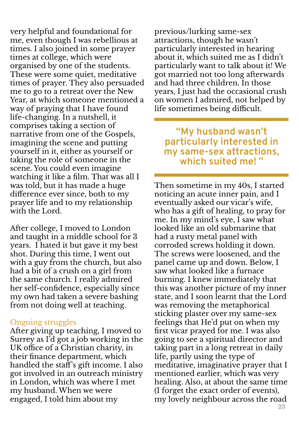very helpful and foundational for me, even though I was rebellious at times. I also joined in some prayer times at college, which were organised by one of the students. These were some quiet, meditative times of prayer. They also persuaded me to go to a retreat over the New Year, at which someone mentioned a way of praying that I have found life-changing. In a nutshell, it comprises taking a section of narrative from one of the Gospels, imagining the scene and putting yourself in it, either as yourself or taking the role of someone in the scene. You could even imagine watching it like a film. That was all I was told, but it has made a huge difference ever since, both to my prayer life and to my relationship with the Lord.

After college, I moved to London and taught in a middle school for 3 years. I hated it but gave it my best shot. During this time, I went out with a guy from the church, but also had a bit of a crush on a girl from the same church. I really admired her self-confidence, especially since my own had taken a severe bashing from not doing well at teaching.

#### Ongoing struggles

After giving up teaching, I moved to Surrey as I'd got a job working in the UK office of a Christian charity, in their finance department, which handled the staff's gift income. I also got involved in an outreach ministry in London, which was where I met my husband. When we were engaged, I told him about my

previous/lurking same-sex attractions, though he wasn't particularly interested in hearing about it, which suited me as I didn't particularly want to talk about it! We got married not too long afterwards and had three children. In those years, I just had the occasional crush on women I admired, not helped by life sometimes being difficult.

**"My husband wasn't particularly interested in my same-sex attractions, which suited me! "**

Then sometime in my 40s, I started noticing an acute inner pain, and I eventually asked our vicar's wife, who has a gift of healing, to pray for me. In my mind's eye, I saw what looked like an old submarine that had a rusty metal panel with corroded screws holding it down. The screws were loosened, and the panel came up and down. Below, I saw what looked like a furnace burning. I knew immediately that this was another picture of my inner state, and I soon learnt that the Lord was removing the metaphorical sticking plaster over my same-sex feelings that He'd put on when my first vicar prayed for me. I was also going to see a spiritual director and taking part in a long retreat in daily life, partly using the type of meditative, imaginative prayer that I mentioned earlier, which was very healing. Also, at about the same time (I forget the exact order of events), my lovely neighbour across the road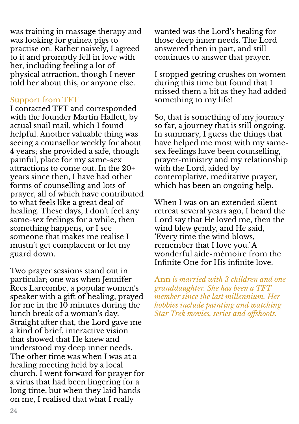was training in massage therapy and was looking for guinea pigs to practise on. Rather naively, I agreed to it and promptly fell in love with her, including feeling a lot of physical attraction, though I never told her about this, or anyone else.

#### Support from TFT

I contacted TFT and corresponded with the founder Martin Hallett, by actual snail mail, which I found helpful. Another valuable thing was seeing a counsellor weekly for about 4 years; she provided a safe, though painful, place for my same-sex attractions to come out. In the 20+ years since then, I have had other forms of counselling and lots of prayer, all of which have contributed to what feels like a great deal of healing. These days, I don't feel any same-sex feelings for a while, then something happens, or I see someone that makes me realise I mustn't get complacent or let my guard down.

Two prayer sessions stand out in particular; one was when Jennifer Rees Larcombe, a popular women's speaker with a gift of healing, prayed for me in the 10 minutes during the lunch break of a woman's day. Straight after that, the Lord gave me a kind of brief, interactive vision that showed that He knew and understood my deep inner needs. The other time was when I was at a healing meeting held by a local church. I went forward for prayer for a virus that had been lingering for a long time, but when they laid hands on me, I realised that what I really

wanted was the Lord's healing for those deep inner needs. The Lord answered then in part, and still continues to answer that prayer.

I stopped getting crushes on women during this time but found that I missed them a bit as they had added something to my life!

So, that is something of my journey so far, a journey that is still ongoing. In summary, I guess the things that have helped me most with my samesex feelings have been counselling, prayer-ministry and my relationship with the Lord, aided by contemplative, meditative prayer, which has been an ongoing help.

When I was on an extended silent retreat several years ago, I heard the Lord say that He loved me, then the wind blew gently, and He said, 'Every time the wind blows, remember that I love you.' A wonderful aide-mémoire from the Infinite One for His infinite love.

**Ann** *is married with 3 children and one granddaughter. She has been a TFT member since the last millennium. Her hobbies include painting and watching Star Trek movies, series and offshoots.*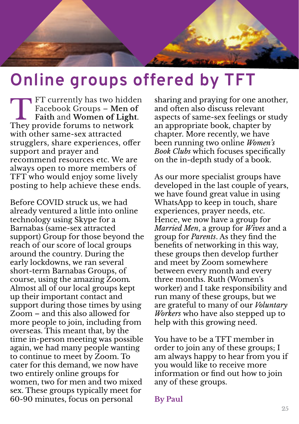

## **Online groups offered by TFT**

FT currently has two hidd<br>Facebook Groups – Men of<br>Faith and Women of Ligh<br>They provide forums to network FT currently has two hidden Facebook Groups – **Men of Faith** and **Women of Light**. with other same-sex attracted strugglers, share experiences, offer support and prayer and recommend resources etc. We are always open to more members of TFT who would enjoy some lively posting to help achieve these ends.

Before COVID struck us, we had already ventured a little into online technology using Skype for a Barnabas (same-sex attracted support) Group for those beyond the reach of our score of local groups around the country. During the early lockdowns, we ran several short-term Barnabas Groups, of course, using the amazing Zoom*.* Almost all of our local groups kept up their important contact and support during those times by using Zoom – and this also allowed for more people to join, including from overseas. This meant that, by the time in-person meeting was possible again, we had many people wanting to continue to meet by Zoom. To cater for this demand, we now have two entirely online groups for women, two for men and two mixed sex. These groups typically meet for 60-90 minutes, focus on personal

sharing and praying for one another, and often also discuss relevant aspects of same-sex feelings or study an appropriate book, chapter by chapter. More recently, we have been running two online *Women's Book Clubs* which focuses specifically on the in-depth study of a book.

As our more specialist groups have developed in the last couple of years, we have found great value in using WhatsApp to keep in touch, share experiences, prayer needs, etc. Hence, we now have a group for *Married Men*, a group for *Wives* and a group for *Parents*. As they find the benefits of networking in this way, these groups then develop further and meet by Zoom somewhere between every month and every three months. Ruth (Women's worker) and I take responsibility and run many of these groups, but we are grateful to many of our *Voluntary Workers* who have also stepped up to help with this growing need.

You have to be a TFT member in order to join any of these groups; I am always happy to hear from you if you would like to receive more information or find out how to join any of these groups.

#### **By Paul**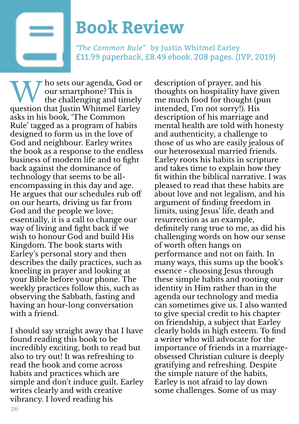

## **Book Review**

*"The Common Rule"* by Justin Whitmel Earley £11.99 paperback, £8.49 ebook. 208 pages. (IVP, 2019)

W ho sets our agenda, God of<br>the challenging and timely<br>question that Justin Whitmel Earley ho sets our agenda, God or our smartphone? This is the challenging and timely asks in his book, 'The Common Rule' tagged as a program of habits designed to form us in the love of God and neighbour. Earley writes the book as a response to the endless business of modern life and to fight back against the dominance of technology that seems to be allencompassing in this day and age. He argues that our schedules rub off on our hearts, driving us far from God and the people we love; essentially, it is a call to change our way of living and fight back if we wish to honour God and build His Kingdom. The book starts with Earley's personal story and then describes the daily practices, such as kneeling in prayer and looking at your Bible before your phone. The weekly practices follow this, such as observing the Sabbath, fasting and having an hour-long conversation with a friend.

I should say straight away that I have found reading this book to be incredibly exciting, both to read but also to try out! It was refreshing to read the book and come across habits and practices which are simple and don't induce guilt. Earley writes clearly and with creative vibrancy. I loved reading his

description of prayer, and his thoughts on hospitality have given me much food for thought (pun intended, I'm not sorry!). His description of his marriage and mental health are told with honesty and authenticity, a challenge to those of us who are easily jealous of our heterosexual married friends. Earley roots his habits in scripture and takes time to explain how they fit within the biblical narrative. I was pleased to read that these habits are about love and not legalism, and his argument of finding freedom in limits, using Jesus' life, death and resurrection as an example, definitely rang true to me, as did his challenging words on how our sense of worth often hangs on performance and not on faith. In many ways, this sums up the book's essence - choosing Jesus through these simple habits and rooting our identity in Him rather than in the agenda our technology and media can sometimes give us. I also wanted to give special credit to his chapter on friendship, a subject that Earley clearly holds in high esteem. To find a writer who will advocate for the importance of friends in a marriageobsessed Christian culture is deeply gratifying and refreshing. Despite the simple nature of the habits, Earley is not afraid to lay down some challenges. Some of us may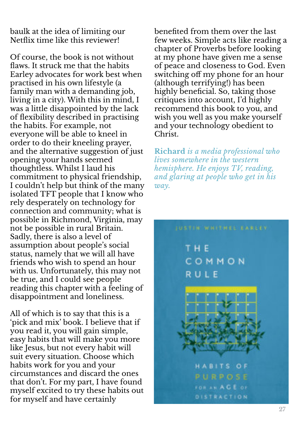baulk at the idea of limiting our Netflix time like this reviewer!

Of course, the book is not without flaws. It struck me that the habits Earley advocates for work best when practised in his own lifestyle (a family man with a demanding job, living in a city). With this in mind, I was a little disappointed by the lack of flexibility described in practising the habits. For example, not everyone will be able to kneel in order to do their kneeling prayer, and the alternative suggestion of just opening your hands seemed thoughtless. Whilst I laud his commitment to physical friendship, I couldn't help but think of the many isolated TFT people that I know who rely desperately on technology for connection and community; what is possible in Richmond, Virginia, may not be possible in rural Britain. Sadly, there is also a level of assumption about people's social status, namely that we will all have friends who wish to spend an hour with us. Unfortunately, this may not be true, and I could see people reading this chapter with a feeling of disappointment and loneliness.

All of which is to say that this is a 'pick and mix' book. I believe that if you read it, you will gain simple, easy habits that will make you more like Jesus, but not every habit will suit every situation. Choose which habits work for you and your circumstances and discard the ones that don't. For my part, I have found myself excited to try these habits out for myself and have certainly

benefited from them over the last few weeks. Simple acts like reading a chapter of Proverbs before looking at my phone have given me a sense of peace and closeness to God. Even switching off my phone for an hour (although terrifying!) has been highly beneficial. So, taking those critiques into account, I'd highly recommend this book to you, and wish you well as you make yourself and your technology obedient to Christ.

**Richard** *is a media professional who lives somewhere in the western hemisphere. He enjoys TV, reading, and glaring at people who get in his way.*

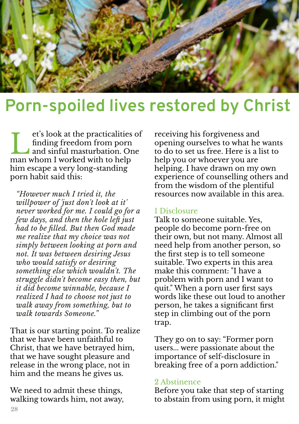

### **Porn-spoiled lives restored by Christ**

et's look at the practicalities<br>finding freedom from porn<br>and sinful masturbation. O<br>man whom I worked with to help et's look at the practicalities of finding freedom from porn and sinful masturbation. One him escape a very long-standing porn habit said this:

*"However much I tried it, the willpower of 'just don't look at it' never worked for me. I could go for a few days, and then the hole left just had to be filled. But then God made me realize that my choice was not simply between looking at porn and not. It was between desiring Jesus who would satisfy or desiring something else which wouldn't. The struggle didn't become easy then, but it did become winnable, because I realized I had to choose not just to walk away from something, but to walk towards Someone."*

That is our starting point. To realize that we have been unfaithful to Christ, that we have betrayed him, that we have sought pleasure and release in the wrong place, not in him and the means he gives us.

We need to admit these things, walking towards him, not away, receiving his forgiveness and opening ourselves to what he wants to do to set us free. Here is a list to help you or whoever you are helping. I have drawn on my own experience of counselling others and from the wisdom of the plentiful resources now available in this area.

#### 1 Disclosure

Talk to someone suitable. Yes, people do become porn-free on their own, but not many. Almost all need help from another person, so the first step is to tell someone suitable. Two experts in this area make this comment: "I have a problem with porn and I want to quit." When a porn user first says words like these out loud to another person, he takes a significant first step in climbing out of the porn trap.

They go on to say: "Former porn users... were passionate about the importance of self-disclosure in breaking free of a porn addiction."

#### 2 Abstinence

Before you take that step of starting to abstain from using porn, it might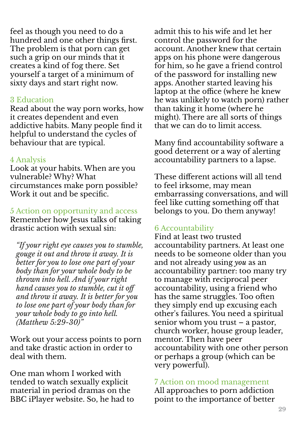feel as though you need to do a hundred and one other things first. The problem is that porn can get such a grip on our minds that it creates a kind of fog there. Set yourself a target of a minimum of sixty days and start right now.

#### 3 Education

Read about the way porn works, how it creates dependent and even addictive habits. Many people find it helpful to understand the cycles of behaviour that are typical.

#### 4 Analysis

Look at your habits. When are you vulnerable? Why? What circumstances make porn possible? Work it out and be specific.

5 Action on opportunity and access Remember how Jesus talks of taking drastic action with sexual sin:

*"If your right eye causes you to stumble, gouge it out and throw it away. It is better for you to lose one part of your body than for your whole body to be thrown into hell. And if your right hand causes you to stumble, cut it off and throw it away. It is better for you to lose one part of your body than for your whole body to go into hell. (Matthew 5:29-30)"*

Work out your access points to porn and take drastic action in order to deal with them.

One man whom I worked with tended to watch sexually explicit material in period dramas on the BBC iPlayer website. So, he had to admit this to his wife and let her control the password for the account. Another knew that certain apps on his phone were dangerous for him, so he gave a friend control of the password for installing new apps. Another started leaving his laptop at the office (where he knew he was unlikely to watch porn) rather than taking it home (where he might). There are all sorts of things that we can do to limit access.

Many find accountability software a good deterrent or a way of alerting accountability partners to a lapse.

These different actions will all tend to feel irksome, may mean embarrassing conversations, and will feel like cutting something off that belongs to you. Do them anyway!

#### 6 Accountability

Find at least two trusted accountability partners. At least one needs to be someone older than you and not already using *you* as an accountability partner: too many try to manage with reciprocal peer accountability, using a friend who has the same struggles. Too often they simply end up excusing each other's failures. You need a spiritual senior whom you trust – a pastor, church worker, house group leader, mentor. Then have peer accountability with one other person or perhaps a group (which can be very powerful).

7 Action on mood management

All approaches to porn addiction point to the importance of better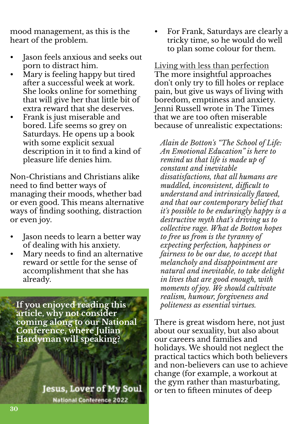mood management, as this is the heart of the problem.

- Jason feels anxious and seeks out porn to distract him.
- Mary is feeling happy but tired after a successful week at work. She looks online for something that will give her that little bit of extra reward that she deserves.
- Frank is just miserable and bored. Life seems so grey on Saturdays. He opens up a book with some explicit sexual description in it to find a kind of pleasure life denies him.

Non-Christians and Christians alike need to find better ways of managing their moods, whether bad or even good. This means alternative ways of finding soothing, distraction or even joy.

- Jason needs to learn a better way of dealing with his anxiety.
- Mary needs to find an alternative reward or settle for the sense of accomplishment that she has already.

**If you enjoyed reading this article, why not consider coming along to our National Conference, where Julian Hardyman will speaking?**

> **Jesus, Lover of My Soul National Conference 2022**

• For Frank, Saturdays are clearly a tricky time, so he would do well to plan some colour for them.

Living with less than perfection The more insightful approaches don't only try to fill holes or replace pain, but give us ways of living with boredom, emptiness and anxiety. Jenni Russell wrote in The Times that we are too often miserable because of unrealistic expectations:

*Alain de Botton's "The School of Life: An Emotional Education" is here to remind us that life is made up of constant and inevitable dissatisfactions, that all humans are muddled, inconsistent, difficult to understand and intrinsically flawed, and that our contemporary belief that it's possible to be enduringly happy is a destructive myth that's driving us to collective rage. What de Botton hopes to free us from is the tyranny of expecting perfection, happiness or fairness to be our due, to accept that melancholy and disappointment are natural and inevitable, to take delight in lives that are good enough, with moments of joy. We should cultivate realism, humour, forgiveness and politeness as essential virtues.*

There is great wisdom here, not just about our sexuality, but also about our careers and families and holidays. We should not neglect the practical tactics which both believers and non-believers can use to achieve change (for example, a workout at the gym rather than masturbating, or ten to fifteen minutes of deep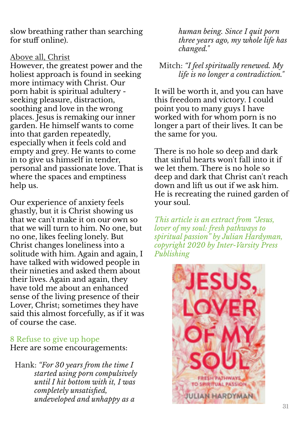slow breathing rather than searching for stuff online).

#### Above all, Christ

However, the greatest power and the holiest approach is found in seeking more intimacy with Christ. Our porn habit is spiritual adultery seeking pleasure, distraction, soothing and love in the wrong places. Jesus is remaking our inner garden. He himself wants to come into that garden repeatedly, especially when it feels cold and empty and grey. He wants to come in to give us himself in tender, personal and passionate love. That is where the spaces and emptiness help us.

Our experience of anxiety feels ghastly, but it is Christ showing us that we can't make it on our own so that we will turn to him. No one, but no one, likes feeling lonely. But Christ changes loneliness into a solitude with him. Again and again, I have talked with widowed people in their nineties and asked them about their lives. Again and again, they have told me about an enhanced sense of the living presence of their Lover, Christ; sometimes they have said this almost forcefully, as if it was of course the case.

#### 8 Refuse to give up hope

Here are some encouragements:

Hank: *"For 30 years from the time I started using porn compulsively until I hit bottom with it, I was completely unsatisfied, undeveloped and unhappy as a*

*human being. Since I quit porn three years ago, my whole life has changed."*

#### Mitch: *"I feel spiritually renewed. My life is no longer a contradiction."*

It will be worth it, and you can have this freedom and victory. I could point you to many guys I have worked with for whom porn is no longer a part of their lives. It can be the same for you.

There is no hole so deep and dark that sinful hearts won't fall into it if we let them. There is no hole so deep and dark that Christ can't reach down and lift us out if we ask him. He is recreating the ruined garden of your soul.

*This article is an extract from "Jesus, lover of my soul: fresh pathways to spiritual passion" by Julian Hardyman, copyright 2020 by Inter-Varsity Press Publishing*